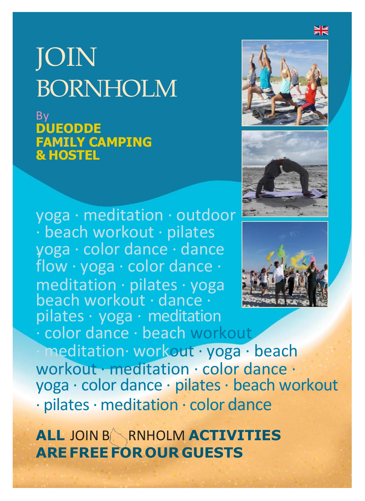## JOIN BORNHOLM

By **DUEODDE FAMILY CAMPING & HOSTEL**

yoga · meditation · outdoor · beach workout · pilates · yoga · color dance · dance flow · yoga · color dance · meditation · pilates · yoga beach workout · dance · pilates · yoga · meditation · color dance · beach workout

meditation· workout · yoga · beach workout · meditation · color dance · yoga · color dance · pilates · beach workout · pilates· meditation · color dance

**ALL** JOIN B RNHOLM **ACTIVITIES AREFREEFOR OUR GUESTS**





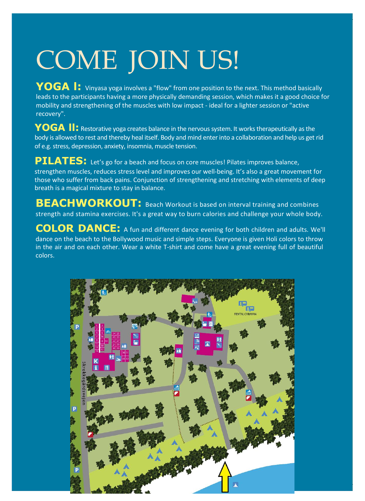# COME JOIN US!

**YOGA** : Vinyasa yoga involves a "flow" from one position to the next. This method basically leads to the participants having a more physically demanding session, which makes it a good choice for mobility and strengthening of the muscles with low impact - ideal for a lighter session or "active recovery".

**YOGA ll:** Restorative yoga creates balance in the nervous system. It works therapeutically as the body is allowed to rest and thereby heal itself. Body and mind enter into a collaboration and help us get rid of e.g. stress, depression, anxiety, insomnia, muscle tension.

**PILATES:** Let's go for a beach and focus on core muscles! Pilates improves balance, strengthen muscles, reduces stress level and improves our well-being. It's also a great movement for those who suffer from back pains. Conjunction of strengthening and stretching with elements of deep breath is a magical mixture to stay in balance.

**BEACHWORKOUT:** Beach Workout is based on interval training and combines strength and stamina exercises. It's a great way to burn calories and challenge your whole body.

**COLOR DANCE:** <sup>A</sup> fun and different dance evening for both children and adults. We'll dance on the beach to the Bollywood music and simple steps. Everyone is given Holi colors to throw in the air and on each other. Wear a white T-shirt and come have a great evening full of beautiful colors.

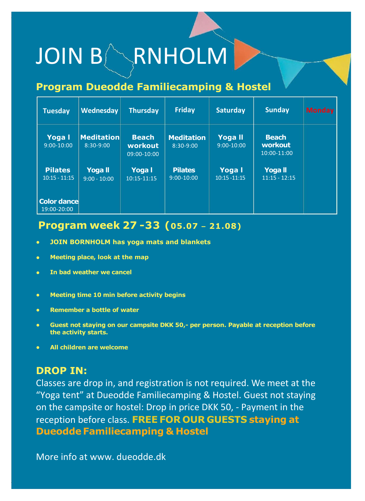# JOIN BARNHOLM

### **Program Dueodde Familiecamping & Hostel**

| <b>Tuesday</b>                     | Wednesday                        | <b>Thursday</b>                            | Friday                           | <b>Saturday</b>         | <b>Sunday</b>                              | <b>Monday</b> |
|------------------------------------|----------------------------------|--------------------------------------------|----------------------------------|-------------------------|--------------------------------------------|---------------|
| Yoga I<br>$9:00-10:00$             | <b>Meditation</b><br>$8:30-9:00$ | <b>Beach</b><br>workout<br>$09:00 - 10:00$ | <b>Meditation</b><br>$8:30-9:00$ | Yoga II<br>$9:00-10:00$ | <b>Beach</b><br>workout<br>$10:00 - 11:00$ |               |
| <b>Pilates</b><br>$10:15 - 11:15$  | <b>Yoga</b> II<br>$9:00 - 10:00$ | Yoga I<br>$10:15 - 11:15$                  | <b>Pilates</b><br>$9:00 - 10:00$ | Yoga I<br>10:15 -11:15  | <b>Yogall</b><br>$11:15 - 12:15$           |               |
| <b>Color dancel</b><br>19:00-20:00 |                                  |                                            |                                  |                         |                                            |               |

### **Program week 27 -33 (05.07 – 21.08)**

- **• JOIN BORNHOLM has yoga mats and blankets**
- **• Meeting place, look at the map**
- **• In bad weather we cancel**
- **• Meeting time 10 min before activity begins**
- **• Remember a bottle of water**
- **• Guest not staying on our campsite DKK 50,- per person. Payable at reception before the activity starts.**
- **• All children are welcome**

#### **DROP IN:**

Classes are drop in, and registration is not required. We meet at the "Yoga tent" at Dueodde Familiecamping & Hostel. Guest not staying on the campsite or hostel: Drop in price DKK 50, - Payment in the reception before class. **FREE FOR OUR GUESTS staying at Dueodde Familiecamping & Hostel**